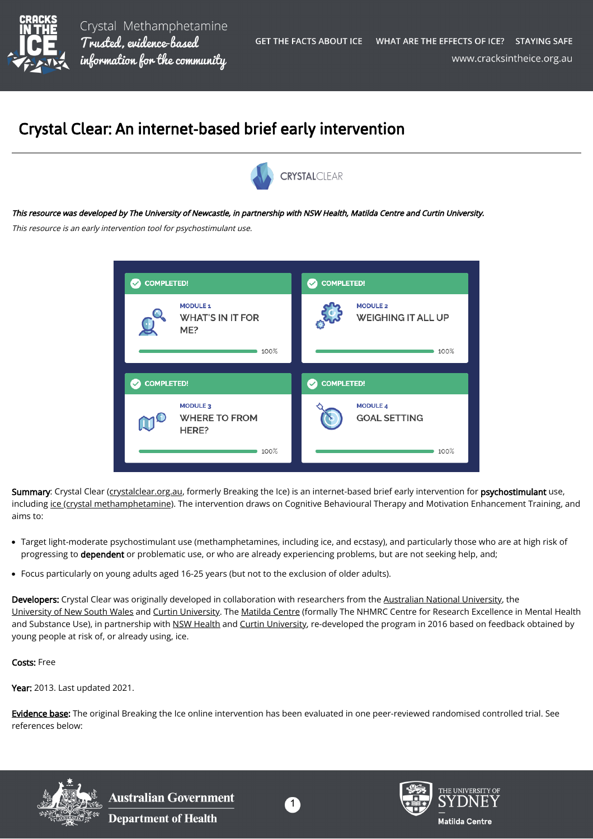

## Crystal Clear: An internet-based brief early intervention



## This resource was developed by The University of Newcastle, in partnership with NSW Health, Matilda Centre and Curtin University.

This resource is an early intervention tool for psychostimulant use.



Summary: Crystal Clear ([crystalclear.org.au,](https://crystalclear.org.au/) formerly Breaking the Ice) is an internet-based brief early intervention for psychostimulant use, including [ice \(crystal methamphetamine\)](https://cracksintheice.org.au/what-is-ice). The intervention draws on Cognitive Behavioural Therapy and Motivation Enhancement Training, and aims to:

- Target light-moderate psychostimulant use (methamphetamines, including ice, and ecstasy), and particularly those who are at high risk of progressing to dependent or problematic use, or who are already experiencing problems, but are not seeking help, and;
- Focus particularly on young adults aged 16-25 years (but not to the exclusion of older adults).

Developers: Crystal Clear was originally developed in collaboration with researchers from the [Australian National University](https://www.anu.edu.au/), the [University of New South Wales](https://www.unsw.edu.au/) and [Curtin University.](https://www.curtin.edu.au/) The [Matilda Centre](https://www.sydney.edu.au/matilda-centre/) (formally The NHMRC Centre for Research Excellence in Mental Health and Substance Use), in partnership with [NSW Health](https://www.health.nsw.gov.au/) and [Curtin University,](https://www.curtin.edu.au/) re-developed the program in 2016 based on feedback obtained by young people at risk of, or already using, ice.

## Costs: Free

Year: 2013. Last updated 2021.

[Evidence base:](https://cracksintheice.org.au/q-a) The original Breaking the Ice online intervention has been evaluated in one peer-reviewed randomised controlled trial. See references below:



**Australian Government Department of Health**